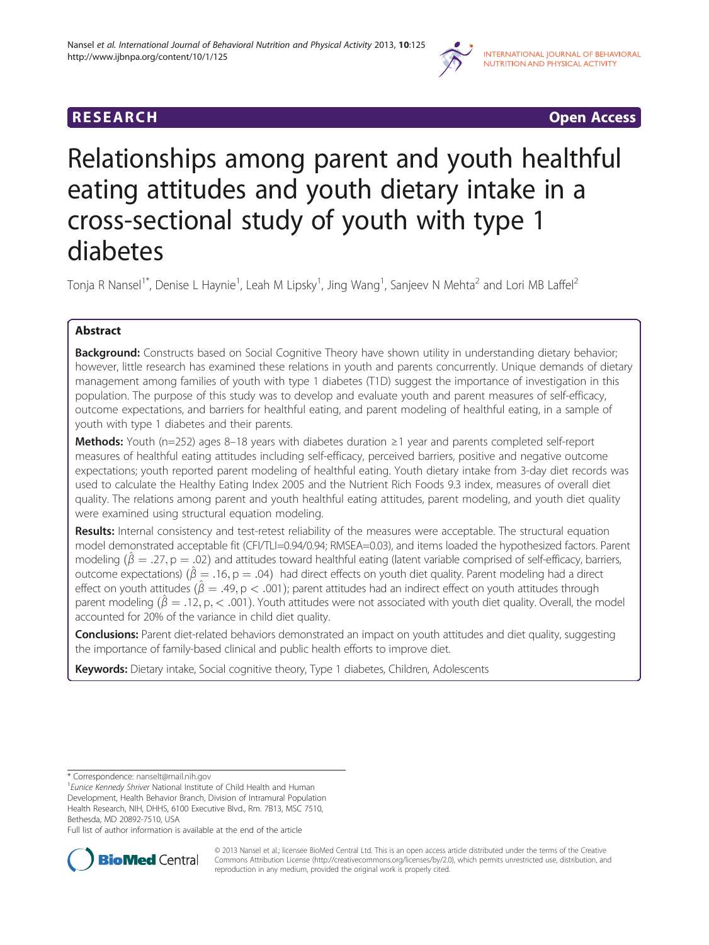

**RESEARCH RESEARCH CONSUMING ACCESS** 

# Relationships among parent and youth healthful eating attitudes and youth dietary intake in a cross-sectional study of youth with type 1 diabetes

Tonja R Nansel<sup>1\*</sup>, Denise L Haynie<sup>1</sup>, Leah M Lipsky<sup>1</sup>, Jing Wang<sup>1</sup>, Sanjeev N Mehta<sup>2</sup> and Lori MB Laffel<sup>2</sup>

# Abstract

**Background:** Constructs based on Social Cognitive Theory have shown utility in understanding dietary behavior; however, little research has examined these relations in youth and parents concurrently. Unique demands of dietary management among families of youth with type 1 diabetes (T1D) suggest the importance of investigation in this population. The purpose of this study was to develop and evaluate youth and parent measures of self-efficacy, outcome expectations, and barriers for healthful eating, and parent modeling of healthful eating, in a sample of youth with type 1 diabetes and their parents.

Methods: Youth (n=252) ages 8–18 years with diabetes duration ≥1 year and parents completed self-report measures of healthful eating attitudes including self-efficacy, perceived barriers, positive and negative outcome expectations; youth reported parent modeling of healthful eating. Youth dietary intake from 3-day diet records was used to calculate the Healthy Eating Index 2005 and the Nutrient Rich Foods 9.3 index, measures of overall diet quality. The relations among parent and youth healthful eating attitudes, parent modeling, and youth diet quality were examined using structural equation modeling.

Results: Internal consistency and test-retest reliability of the measures were acceptable. The structural equation model demonstrated acceptable fit (CFI/TLI=0.94/0.94; RMSEA=0.03), and items loaded the hypothesized factors. Parent modeling  $(\hat{\beta} = .27, p = .02)$  and attitudes toward healthful eating (latent variable comprised of self-efficacy, barriers, outcome expectations)  $(\hat{\beta} = .16, p = .04)$  had direct effects on youth diet quality. Parent modeling had a direct effect on youth attitudes  $(\hat{\beta} = .49, p < .001)$ ; parent attitudes had an indirect effect on youth attitudes through parent modeling  $(\hat{\beta} = .12, p, < .001)$ . Youth attitudes were not associated with youth diet quality. Overall, the model accounted for 20% of the variance in child diet quality.

**Conclusions:** Parent diet-related behaviors demonstrated an impact on youth attitudes and diet quality, suggesting the importance of family-based clinical and public health efforts to improve diet.

Keywords: Dietary intake, Social cognitive theory, Type 1 diabetes, Children, Adolescents

<sup>1</sup> Eunice Kennedy Shriver National Institute of Child Health and Human Development, Health Behavior Branch, Division of Intramural Population Health Research, NIH, DHHS, 6100 Executive Blvd., Rm. 7B13, MSC 7510,

Bethesda, MD 20892-7510, USA

Full list of author information is available at the end of the article



© 2013 Nansel et al.; licensee BioMed Central Ltd. This is an open access article distributed under the terms of the Creative Commons Attribution License [\(http://creativecommons.org/licenses/by/2.0\)](http://creativecommons.org/licenses/by/2.0), which permits unrestricted use, distribution, and reproduction in any medium, provided the original work is properly cited.

<sup>\*</sup> Correspondence: [nanselt@mail.nih.gov](mailto:nanselt@mail.nih.gov) <sup>1</sup>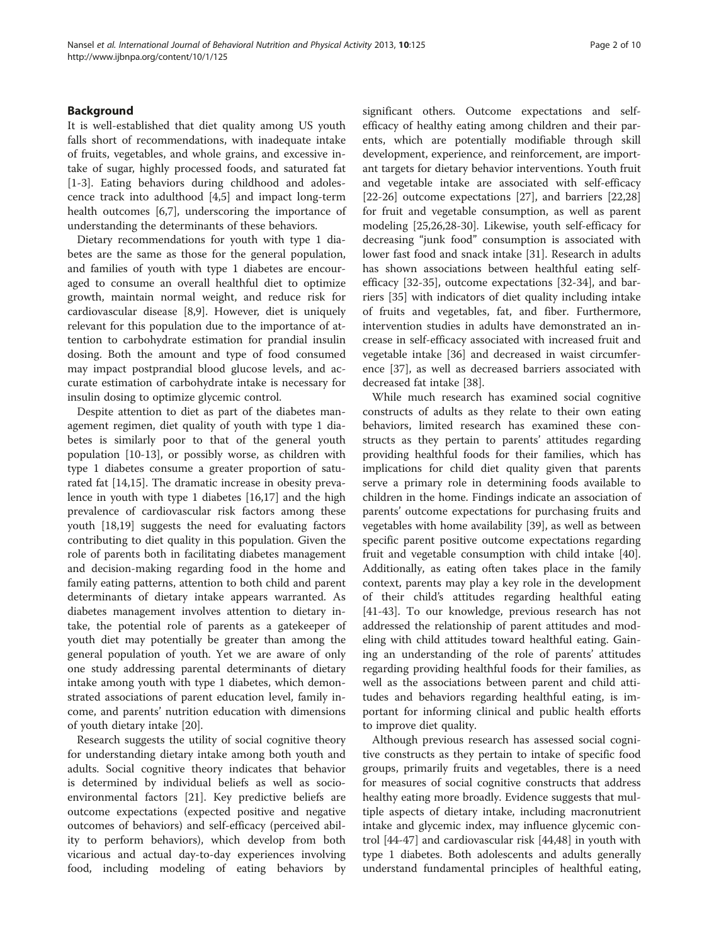# Background

It is well-established that diet quality among US youth falls short of recommendations, with inadequate intake of fruits, vegetables, and whole grains, and excessive intake of sugar, highly processed foods, and saturated fat [[1-3](#page-7-0)]. Eating behaviors during childhood and adolescence track into adulthood [[4](#page-7-0),[5\]](#page-7-0) and impact long-term health outcomes [[6,7\]](#page-7-0), underscoring the importance of understanding the determinants of these behaviors.

Dietary recommendations for youth with type 1 diabetes are the same as those for the general population, and families of youth with type 1 diabetes are encouraged to consume an overall healthful diet to optimize growth, maintain normal weight, and reduce risk for cardiovascular disease [\[8](#page-7-0),[9](#page-7-0)]. However, diet is uniquely relevant for this population due to the importance of attention to carbohydrate estimation for prandial insulin dosing. Both the amount and type of food consumed may impact postprandial blood glucose levels, and accurate estimation of carbohydrate intake is necessary for insulin dosing to optimize glycemic control.

Despite attention to diet as part of the diabetes management regimen, diet quality of youth with type 1 diabetes is similarly poor to that of the general youth population [\[10](#page-7-0)-[13\]](#page-7-0), or possibly worse, as children with type 1 diabetes consume a greater proportion of saturated fat [\[14,15](#page-7-0)]. The dramatic increase in obesity prevalence in youth with type 1 diabetes [\[16,17](#page-7-0)] and the high prevalence of cardiovascular risk factors among these youth [\[18](#page-7-0)[,19\]](#page-8-0) suggests the need for evaluating factors contributing to diet quality in this population. Given the role of parents both in facilitating diabetes management and decision-making regarding food in the home and family eating patterns, attention to both child and parent determinants of dietary intake appears warranted. As diabetes management involves attention to dietary intake, the potential role of parents as a gatekeeper of youth diet may potentially be greater than among the general population of youth. Yet we are aware of only one study addressing parental determinants of dietary intake among youth with type 1 diabetes, which demonstrated associations of parent education level, family income, and parents' nutrition education with dimensions of youth dietary intake [[20](#page-8-0)].

Research suggests the utility of social cognitive theory for understanding dietary intake among both youth and adults. Social cognitive theory indicates that behavior is determined by individual beliefs as well as socioenvironmental factors [\[21](#page-8-0)]. Key predictive beliefs are outcome expectations (expected positive and negative outcomes of behaviors) and self-efficacy (perceived ability to perform behaviors), which develop from both vicarious and actual day-to-day experiences involving food, including modeling of eating behaviors by

significant others. Outcome expectations and selfefficacy of healthy eating among children and their parents, which are potentially modifiable through skill development, experience, and reinforcement, are important targets for dietary behavior interventions. Youth fruit and vegetable intake are associated with self-efficacy [[22-26](#page-8-0)] outcome expectations [[27](#page-8-0)], and barriers [[22](#page-8-0),[28](#page-8-0)] for fruit and vegetable consumption, as well as parent modeling [\[25,26,28-30](#page-8-0)]. Likewise, youth self-efficacy for decreasing "junk food" consumption is associated with lower fast food and snack intake [[31\]](#page-8-0). Research in adults has shown associations between healthful eating selfefficacy [[32-35](#page-8-0)], outcome expectations [\[32-34](#page-8-0)], and barriers [\[35](#page-8-0)] with indicators of diet quality including intake of fruits and vegetables, fat, and fiber. Furthermore, intervention studies in adults have demonstrated an increase in self-efficacy associated with increased fruit and vegetable intake [[36](#page-8-0)] and decreased in waist circumference [[37](#page-8-0)], as well as decreased barriers associated with decreased fat intake [\[38\]](#page-8-0).

While much research has examined social cognitive constructs of adults as they relate to their own eating behaviors, limited research has examined these constructs as they pertain to parents' attitudes regarding providing healthful foods for their families, which has implications for child diet quality given that parents serve a primary role in determining foods available to children in the home. Findings indicate an association of parents' outcome expectations for purchasing fruits and vegetables with home availability [\[39\]](#page-8-0), as well as between specific parent positive outcome expectations regarding fruit and vegetable consumption with child intake [\[40](#page-8-0)]. Additionally, as eating often takes place in the family context, parents may play a key role in the development of their child's attitudes regarding healthful eating [[41-43](#page-8-0)]. To our knowledge, previous research has not addressed the relationship of parent attitudes and modeling with child attitudes toward healthful eating. Gaining an understanding of the role of parents' attitudes regarding providing healthful foods for their families, as well as the associations between parent and child attitudes and behaviors regarding healthful eating, is important for informing clinical and public health efforts to improve diet quality.

Although previous research has assessed social cognitive constructs as they pertain to intake of specific food groups, primarily fruits and vegetables, there is a need for measures of social cognitive constructs that address healthy eating more broadly. Evidence suggests that multiple aspects of dietary intake, including macronutrient intake and glycemic index, may influence glycemic control [\[44](#page-8-0)-[47\]](#page-8-0) and cardiovascular risk [\[44,48](#page-8-0)] in youth with type 1 diabetes. Both adolescents and adults generally understand fundamental principles of healthful eating,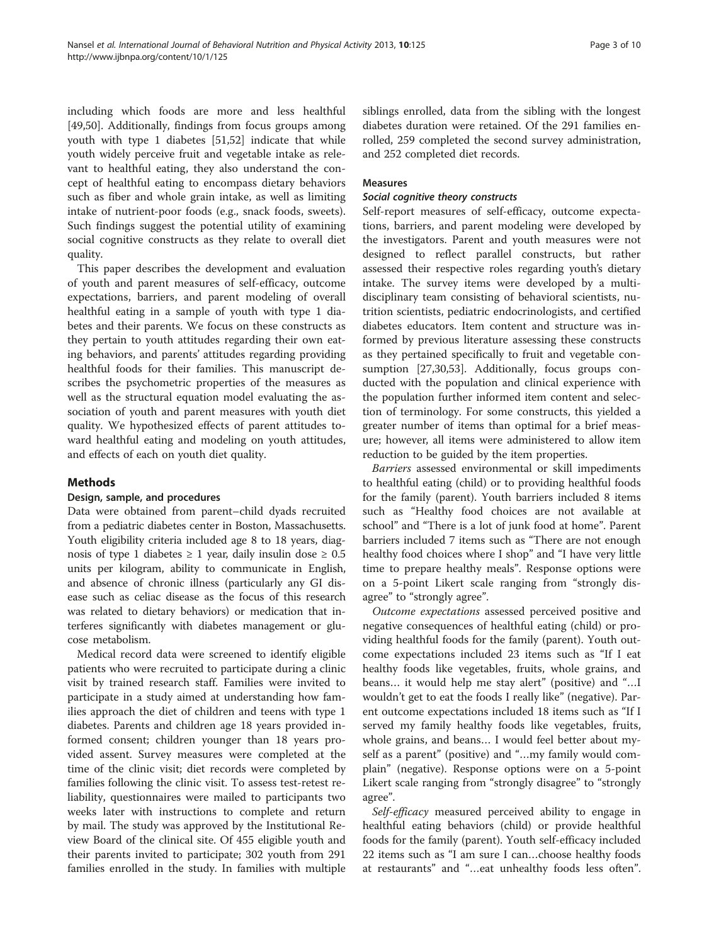including which foods are more and less healthful [[49,50\]](#page-8-0). Additionally, findings from focus groups among youth with type 1 diabetes [[51,52\]](#page-8-0) indicate that while youth widely perceive fruit and vegetable intake as relevant to healthful eating, they also understand the concept of healthful eating to encompass dietary behaviors such as fiber and whole grain intake, as well as limiting intake of nutrient-poor foods (e.g., snack foods, sweets). Such findings suggest the potential utility of examining social cognitive constructs as they relate to overall diet quality.

This paper describes the development and evaluation of youth and parent measures of self-efficacy, outcome expectations, barriers, and parent modeling of overall healthful eating in a sample of youth with type 1 diabetes and their parents. We focus on these constructs as they pertain to youth attitudes regarding their own eating behaviors, and parents' attitudes regarding providing healthful foods for their families. This manuscript describes the psychometric properties of the measures as well as the structural equation model evaluating the association of youth and parent measures with youth diet quality. We hypothesized effects of parent attitudes toward healthful eating and modeling on youth attitudes, and effects of each on youth diet quality.

# Methods

# Design, sample, and procedures

Data were obtained from parent–child dyads recruited from a pediatric diabetes center in Boston, Massachusetts. Youth eligibility criteria included age 8 to 18 years, diagnosis of type 1 diabetes  $\geq 1$  year, daily insulin dose  $\geq 0.5$ units per kilogram, ability to communicate in English, and absence of chronic illness (particularly any GI disease such as celiac disease as the focus of this research was related to dietary behaviors) or medication that interferes significantly with diabetes management or glucose metabolism.

Medical record data were screened to identify eligible patients who were recruited to participate during a clinic visit by trained research staff. Families were invited to participate in a study aimed at understanding how families approach the diet of children and teens with type 1 diabetes. Parents and children age 18 years provided informed consent; children younger than 18 years provided assent. Survey measures were completed at the time of the clinic visit; diet records were completed by families following the clinic visit. To assess test-retest reliability, questionnaires were mailed to participants two weeks later with instructions to complete and return by mail. The study was approved by the Institutional Review Board of the clinical site. Of 455 eligible youth and their parents invited to participate; 302 youth from 291 families enrolled in the study. In families with multiple siblings enrolled, data from the sibling with the longest diabetes duration were retained. Of the 291 families enrolled, 259 completed the second survey administration, and 252 completed diet records.

# Measures

# Social cognitive theory constructs

Self-report measures of self-efficacy, outcome expectations, barriers, and parent modeling were developed by the investigators. Parent and youth measures were not designed to reflect parallel constructs, but rather assessed their respective roles regarding youth's dietary intake. The survey items were developed by a multidisciplinary team consisting of behavioral scientists, nutrition scientists, pediatric endocrinologists, and certified diabetes educators. Item content and structure was informed by previous literature assessing these constructs as they pertained specifically to fruit and vegetable consumption [\[27,30,53\]](#page-8-0). Additionally, focus groups conducted with the population and clinical experience with the population further informed item content and selection of terminology. For some constructs, this yielded a greater number of items than optimal for a brief measure; however, all items were administered to allow item reduction to be guided by the item properties.

Barriers assessed environmental or skill impediments to healthful eating (child) or to providing healthful foods for the family (parent). Youth barriers included 8 items such as "Healthy food choices are not available at school" and "There is a lot of junk food at home". Parent barriers included 7 items such as "There are not enough healthy food choices where I shop" and "I have very little time to prepare healthy meals". Response options were on a 5-point Likert scale ranging from "strongly disagree" to "strongly agree".

Outcome expectations assessed perceived positive and negative consequences of healthful eating (child) or providing healthful foods for the family (parent). Youth outcome expectations included 23 items such as "If I eat healthy foods like vegetables, fruits, whole grains, and beans… it would help me stay alert" (positive) and "…I wouldn't get to eat the foods I really like" (negative). Parent outcome expectations included 18 items such as "If I served my family healthy foods like vegetables, fruits, whole grains, and beans… I would feel better about myself as a parent" (positive) and "…my family would complain" (negative). Response options were on a 5-point Likert scale ranging from "strongly disagree" to "strongly agree".

Self-efficacy measured perceived ability to engage in healthful eating behaviors (child) or provide healthful foods for the family (parent). Youth self-efficacy included 22 items such as "I am sure I can…choose healthy foods at restaurants" and "…eat unhealthy foods less often".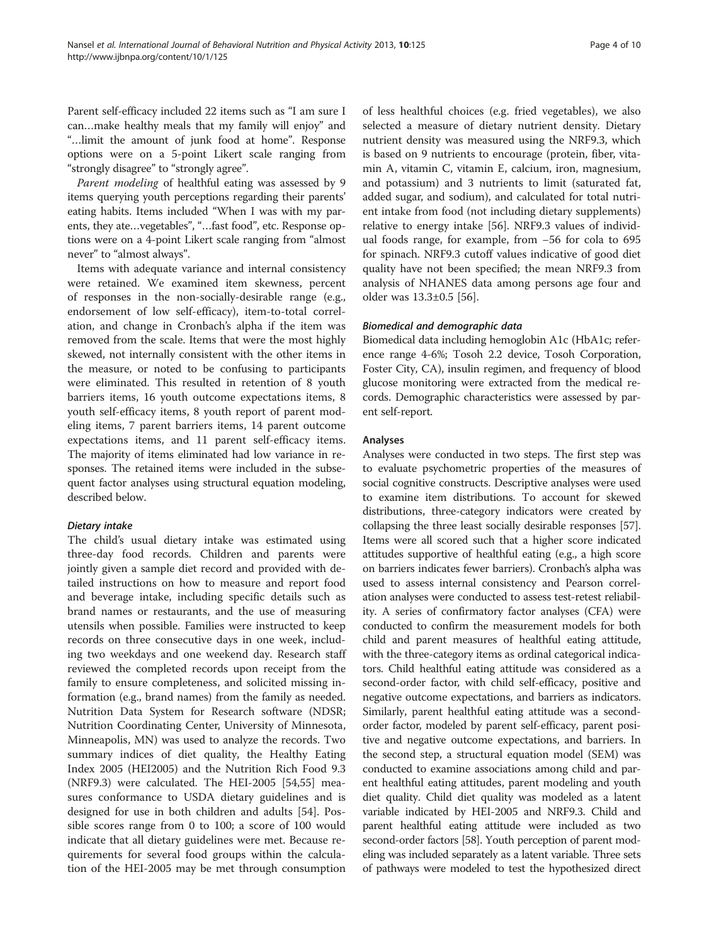Parent self-efficacy included 22 items such as "I am sure I can…make healthy meals that my family will enjoy" and "…limit the amount of junk food at home". Response options were on a 5-point Likert scale ranging from "strongly disagree" to "strongly agree".

Parent modeling of healthful eating was assessed by 9 items querying youth perceptions regarding their parents' eating habits. Items included "When I was with my parents, they ate…vegetables", "…fast food", etc. Response options were on a 4-point Likert scale ranging from "almost never" to "almost always".

Items with adequate variance and internal consistency were retained. We examined item skewness, percent of responses in the non-socially-desirable range (e.g., endorsement of low self-efficacy), item-to-total correlation, and change in Cronbach's alpha if the item was removed from the scale. Items that were the most highly skewed, not internally consistent with the other items in the measure, or noted to be confusing to participants were eliminated. This resulted in retention of 8 youth barriers items, 16 youth outcome expectations items, 8 youth self-efficacy items, 8 youth report of parent modeling items, 7 parent barriers items, 14 parent outcome expectations items, and 11 parent self-efficacy items. The majority of items eliminated had low variance in responses. The retained items were included in the subsequent factor analyses using structural equation modeling, described below.

#### Dietary intake

The child's usual dietary intake was estimated using three-day food records. Children and parents were jointly given a sample diet record and provided with detailed instructions on how to measure and report food and beverage intake, including specific details such as brand names or restaurants, and the use of measuring utensils when possible. Families were instructed to keep records on three consecutive days in one week, including two weekdays and one weekend day. Research staff reviewed the completed records upon receipt from the family to ensure completeness, and solicited missing information (e.g., brand names) from the family as needed. Nutrition Data System for Research software (NDSR; Nutrition Coordinating Center, University of Minnesota, Minneapolis, MN) was used to analyze the records. Two summary indices of diet quality, the Healthy Eating Index 2005 (HEI2005) and the Nutrition Rich Food 9.3 (NRF9.3) were calculated. The HEI-2005 [\[54,55\]](#page-8-0) measures conformance to USDA dietary guidelines and is designed for use in both children and adults [\[54](#page-8-0)]. Possible scores range from 0 to 100; a score of 100 would indicate that all dietary guidelines were met. Because requirements for several food groups within the calculation of the HEI-2005 may be met through consumption

of less healthful choices (e.g. fried vegetables), we also selected a measure of dietary nutrient density. Dietary nutrient density was measured using the NRF9.3, which is based on 9 nutrients to encourage (protein, fiber, vitamin A, vitamin C, vitamin E, calcium, iron, magnesium, and potassium) and 3 nutrients to limit (saturated fat, added sugar, and sodium), and calculated for total nutrient intake from food (not including dietary supplements) relative to energy intake [[56\]](#page-8-0). NRF9.3 values of individual foods range, for example, from −56 for cola to 695 for spinach. NRF9.3 cutoff values indicative of good diet quality have not been specified; the mean NRF9.3 from analysis of NHANES data among persons age four and older was 13.3±0.5 [\[56](#page-8-0)].

#### Biomedical and demographic data

Biomedical data including hemoglobin A1c (HbA1c; reference range 4-6%; Tosoh 2.2 device, Tosoh Corporation, Foster City, CA), insulin regimen, and frequency of blood glucose monitoring were extracted from the medical records. Demographic characteristics were assessed by parent self-report.

#### Analyses

Analyses were conducted in two steps. The first step was to evaluate psychometric properties of the measures of social cognitive constructs. Descriptive analyses were used to examine item distributions. To account for skewed distributions, three-category indicators were created by collapsing the three least socially desirable responses [[57](#page-8-0)]. Items were all scored such that a higher score indicated attitudes supportive of healthful eating (e.g., a high score on barriers indicates fewer barriers). Cronbach's alpha was used to assess internal consistency and Pearson correlation analyses were conducted to assess test-retest reliability. A series of confirmatory factor analyses (CFA) were conducted to confirm the measurement models for both child and parent measures of healthful eating attitude, with the three-category items as ordinal categorical indicators. Child healthful eating attitude was considered as a second-order factor, with child self-efficacy, positive and negative outcome expectations, and barriers as indicators. Similarly, parent healthful eating attitude was a secondorder factor, modeled by parent self-efficacy, parent positive and negative outcome expectations, and barriers. In the second step, a structural equation model (SEM) was conducted to examine associations among child and parent healthful eating attitudes, parent modeling and youth diet quality. Child diet quality was modeled as a latent variable indicated by HEI-2005 and NRF9.3. Child and parent healthful eating attitude were included as two second-order factors [\[58](#page-8-0)]. Youth perception of parent modeling was included separately as a latent variable. Three sets of pathways were modeled to test the hypothesized direct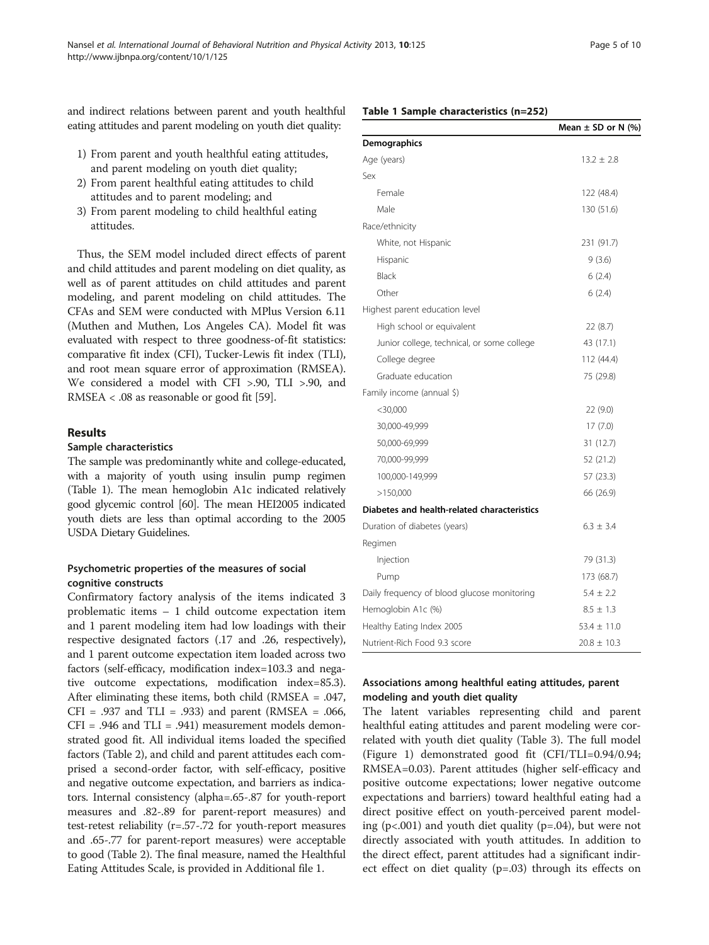and indirect relations between parent and youth healthful eating attitudes and parent modeling on youth diet quality:

- 1) From parent and youth healthful eating attitudes, and parent modeling on youth diet quality;
- 2) From parent healthful eating attitudes to child attitudes and to parent modeling; and
- 3) From parent modeling to child healthful eating attitudes.

Thus, the SEM model included direct effects of parent and child attitudes and parent modeling on diet quality, as well as of parent attitudes on child attitudes and parent modeling, and parent modeling on child attitudes. The CFAs and SEM were conducted with MPlus Version 6.11 (Muthen and Muthen, Los Angeles CA). Model fit was evaluated with respect to three goodness-of-fit statistics: comparative fit index (CFI), Tucker-Lewis fit index (TLI), and root mean square error of approximation (RMSEA). We considered a model with CFI >.90, TLI >.90, and RMSEA < .08 as reasonable or good fit [\[59\]](#page-8-0).

# Results

#### Sample characteristics

The sample was predominantly white and college-educated, with a majority of youth using insulin pump regimen (Table 1). The mean hemoglobin A1c indicated relatively good glycemic control [\[60](#page-8-0)]. The mean HEI2005 indicated youth diets are less than optimal according to the 2005 USDA Dietary Guidelines.

# Psychometric properties of the measures of social cognitive constructs

Confirmatory factory analysis of the items indicated 3 problematic items – 1 child outcome expectation item and 1 parent modeling item had low loadings with their respective designated factors (.17 and .26, respectively), and 1 parent outcome expectation item loaded across two factors (self-efficacy, modification index=103.3 and negative outcome expectations, modification index=85.3). After eliminating these items, both child (RMSEA = .047, CFI =  $.937$  and TLI =  $.933$ ) and parent (RMSEA =  $.066$ ,  $CFI = .946$  and  $TLI = .941$ ) measurement models demonstrated good fit. All individual items loaded the specified factors (Table [2](#page-5-0)), and child and parent attitudes each comprised a second-order factor, with self-efficacy, positive and negative outcome expectation, and barriers as indicators. Internal consistency (alpha=.65-.87 for youth-report measures and .82-.89 for parent-report measures) and test-retest reliability (r=.57-.72 for youth-report measures and .65-.77 for parent-report measures) were acceptable to good (Table [2\)](#page-5-0). The final measure, named the Healthful Eating Attitudes Scale, is provided in Additional file [1](#page-7-0).

# Mean  $\pm$  SD or N (%) Demographics Age (years)  $13.2 \pm 2.8$ Sex Female 122 (48.4) Male 130 (51.6) Race/ethnicity White, not Hispanic 231 (91.7) Hispanic 9 (3.6) Black 6 (2.4) Other  $6(2.4)$ Highest parent education level High school or equivalent 22 (8.7) Junior college, technical, or some college 43 (17.1) College degree 112 (44.4) Graduate education 75 (29.8) Family income (annual \$) <30,000 22 (9.0) 30,000-49,999 17 (7.0) 50,000-69,999 31 (12.7) 70,000-99,999 52 (21.2) 100,000-149,999 57 (23.3) >150,000 66 (26.9) Diabetes and health-related characteristics Duration of diabetes (years)  $6.3 \pm 3.4$ Regimen Injection 79 (31.3) Pump 173 (68.7) Daily frequency of blood glucose monitoring  $5.4 \pm 2.2$ Hemoglobin A1c  $(\%)$  8.5  $\pm$  1.3

# Associations among healthful eating attitudes, parent modeling and youth diet quality

Healthy Eating Index 2005  $53.4 \pm 11.0$ Nutrient-Rich Food 9.3 score  $20.8 \pm 10.3$ 

The latent variables representing child and parent healthful eating attitudes and parent modeling were correlated with youth diet quality (Table [3\)](#page-5-0). The full model (Figure [1\)](#page-6-0) demonstrated good fit (CFI/TLI=0.94/0.94; RMSEA=0.03). Parent attitudes (higher self-efficacy and positive outcome expectations; lower negative outcome expectations and barriers) toward healthful eating had a direct positive effect on youth-perceived parent modeling (p<.001) and youth diet quality (p=.04), but were not directly associated with youth attitudes. In addition to the direct effect, parent attitudes had a significant indirect effect on diet quality (p=.03) through its effects on

# Table 1 Sample characteristics (n=252)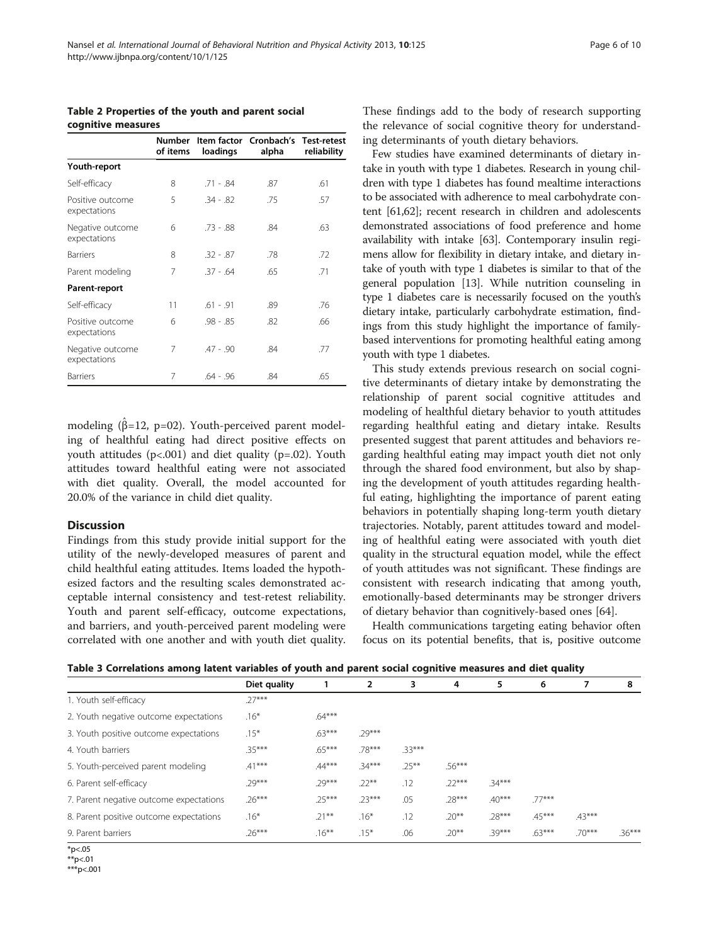<span id="page-5-0"></span>Table 2 Properties of the youth and parent social cognitive measures

|                                  | Number<br>of items | loadings    | Item factor Cronbach's Test-retest<br>alpha | reliability |  |
|----------------------------------|--------------------|-------------|---------------------------------------------|-------------|--|
| Youth-report                     |                    |             |                                             |             |  |
| Self-efficacy                    | 8                  | $.71 - .84$ | .87                                         | .61         |  |
| Positive outcome<br>expectations | 5                  | $.34 - .82$ | .75                                         | .57         |  |
| Negative outcome<br>expectations | 6                  | $.73 - .88$ | .84                                         | .63         |  |
| <b>Barriers</b>                  | 8                  | $.32 - .87$ | .78                                         | .72         |  |
| Parent modeling                  | 7                  | $.37 - .64$ | .65                                         | .71         |  |
| Parent-report                    |                    |             |                                             |             |  |
| Self-efficacy                    | 11                 | $.61 - .91$ | .89                                         | .76         |  |
| Positive outcome<br>expectations | 6                  | .98 - .85   | .82                                         | .66         |  |
| Negative outcome<br>expectations | 7                  | $.47 - .90$ | .84                                         | .77         |  |
| <b>Barriers</b>                  | 7                  | 64 - 96     | .84                                         | .65         |  |

modeling ( $\hat{\beta}$ =12, p=02). Youth-perceived parent modeling of healthful eating had direct positive effects on youth attitudes  $(p<.001)$  and diet quality  $(p=.02)$ . Youth attitudes toward healthful eating were not associated with diet quality. Overall, the model accounted for 20.0% of the variance in child diet quality.

#### **Discussion**

Findings from this study provide initial support for the utility of the newly-developed measures of parent and child healthful eating attitudes. Items loaded the hypothesized factors and the resulting scales demonstrated acceptable internal consistency and test-retest reliability. Youth and parent self-efficacy, outcome expectations, and barriers, and youth-perceived parent modeling were correlated with one another and with youth diet quality.

These findings add to the body of research supporting the relevance of social cognitive theory for understanding determinants of youth dietary behaviors.

Few studies have examined determinants of dietary intake in youth with type 1 diabetes. Research in young children with type 1 diabetes has found mealtime interactions to be associated with adherence to meal carbohydrate content [[61,62](#page-8-0)]; recent research in children and adolescents demonstrated associations of food preference and home availability with intake [[63](#page-9-0)]. Contemporary insulin regimens allow for flexibility in dietary intake, and dietary intake of youth with type 1 diabetes is similar to that of the general population [\[13\]](#page-7-0). While nutrition counseling in type 1 diabetes care is necessarily focused on the youth's dietary intake, particularly carbohydrate estimation, findings from this study highlight the importance of familybased interventions for promoting healthful eating among youth with type 1 diabetes.

This study extends previous research on social cognitive determinants of dietary intake by demonstrating the relationship of parent social cognitive attitudes and modeling of healthful dietary behavior to youth attitudes regarding healthful eating and dietary intake. Results presented suggest that parent attitudes and behaviors regarding healthful eating may impact youth diet not only through the shared food environment, but also by shaping the development of youth attitudes regarding healthful eating, highlighting the importance of parent eating behaviors in potentially shaping long-term youth dietary trajectories. Notably, parent attitudes toward and modeling of healthful eating were associated with youth diet quality in the structural equation model, while the effect of youth attitudes was not significant. These findings are consistent with research indicating that among youth, emotionally-based determinants may be stronger drivers of dietary behavior than cognitively-based ones [[64](#page-9-0)].

Health communications targeting eating behavior often focus on its potential benefits, that is, positive outcome

| Table 3 Correlations among latent variables of youth and parent social cognitive measures and diet quality |  |  |  |
|------------------------------------------------------------------------------------------------------------|--|--|--|
|------------------------------------------------------------------------------------------------------------|--|--|--|

|                                         | Diet quality |          | 2        | 3        | 4        | 5        | 6        | 7        | 8        |
|-----------------------------------------|--------------|----------|----------|----------|----------|----------|----------|----------|----------|
| 1. Youth self-efficacy                  | $27***$      |          |          |          |          |          |          |          |          |
| 2. Youth negative outcome expectations  | $.16*$       | $.64***$ |          |          |          |          |          |          |          |
| 3. Youth positive outcome expectations  | $.15*$       | $.63***$ | $.29***$ |          |          |          |          |          |          |
| 4. Youth barriers                       | $35***$      | $.65***$ | .78***   | 33***    |          |          |          |          |          |
| 5. Youth-perceived parent modeling      | $.41***$     | $.44***$ | $.34***$ | $.25***$ | $.56***$ |          |          |          |          |
| 6. Parent self-efficacy                 | $.29***$     | $.29***$ | $.22***$ | .12      | $.22***$ | $.34***$ |          |          |          |
| 7. Parent negative outcome expectations | $.26***$     | $.25***$ | $.23***$ | .05      | $.28***$ | $.40***$ | $.77***$ |          |          |
| 8. Parent positive outcome expectations | $.16*$       | $.21***$ | $.16*$   | .12      | $.20**$  | $.28***$ | $.45***$ | $.43***$ |          |
| 9. Parent barriers                      | $.26***$     | $.16***$ | $.15*$   | .06      | $.20**$  | $.39***$ | $.63***$ | $.70***$ | $.36***$ |

<sup>\*</sup>p<.05

 $*$ <sub>\*</sub> $p$  < 0.01

\*\*\*p<.001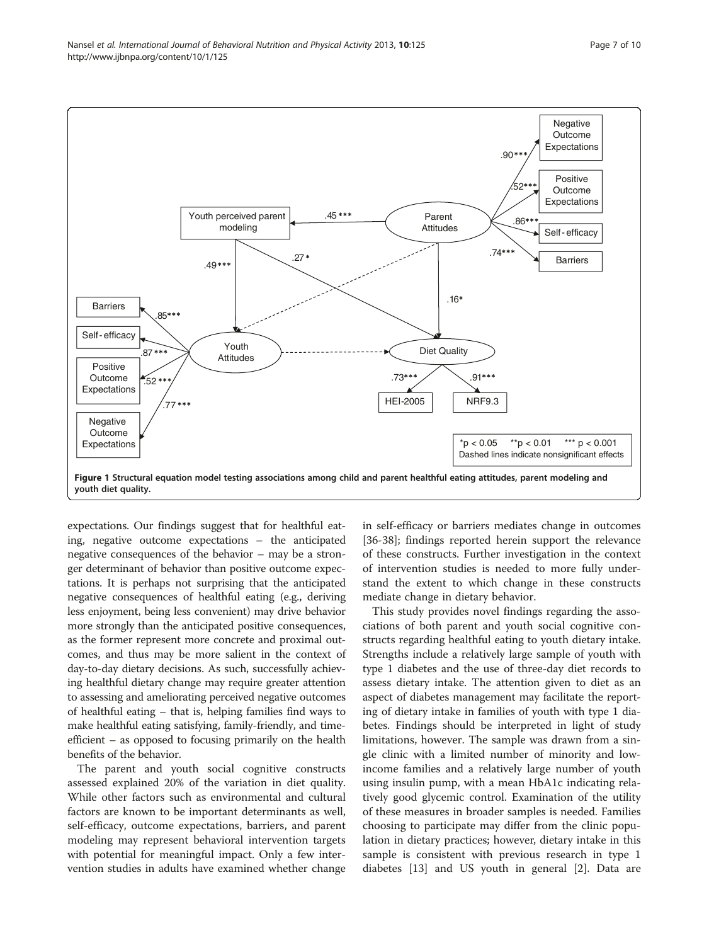<span id="page-6-0"></span>

expectations. Our findings suggest that for healthful eating, negative outcome expectations – the anticipated negative consequences of the behavior – may be a stronger determinant of behavior than positive outcome expectations. It is perhaps not surprising that the anticipated negative consequences of healthful eating (e.g., deriving less enjoyment, being less convenient) may drive behavior more strongly than the anticipated positive consequences, as the former represent more concrete and proximal outcomes, and thus may be more salient in the context of day-to-day dietary decisions. As such, successfully achieving healthful dietary change may require greater attention to assessing and ameliorating perceived negative outcomes of healthful eating – that is, helping families find ways to make healthful eating satisfying, family-friendly, and timeefficient – as opposed to focusing primarily on the health benefits of the behavior.

The parent and youth social cognitive constructs assessed explained 20% of the variation in diet quality. While other factors such as environmental and cultural factors are known to be important determinants as well, self-efficacy, outcome expectations, barriers, and parent modeling may represent behavioral intervention targets with potential for meaningful impact. Only a few intervention studies in adults have examined whether change in self-efficacy or barriers mediates change in outcomes [[36-38](#page-8-0)]; findings reported herein support the relevance of these constructs. Further investigation in the context of intervention studies is needed to more fully understand the extent to which change in these constructs mediate change in dietary behavior.

This study provides novel findings regarding the associations of both parent and youth social cognitive constructs regarding healthful eating to youth dietary intake. Strengths include a relatively large sample of youth with type 1 diabetes and the use of three-day diet records to assess dietary intake. The attention given to diet as an aspect of diabetes management may facilitate the reporting of dietary intake in families of youth with type 1 diabetes. Findings should be interpreted in light of study limitations, however. The sample was drawn from a single clinic with a limited number of minority and lowincome families and a relatively large number of youth using insulin pump, with a mean HbA1c indicating relatively good glycemic control. Examination of the utility of these measures in broader samples is needed. Families choosing to participate may differ from the clinic population in dietary practices; however, dietary intake in this sample is consistent with previous research in type 1 diabetes [[13](#page-7-0)] and US youth in general [\[2](#page-7-0)]. Data are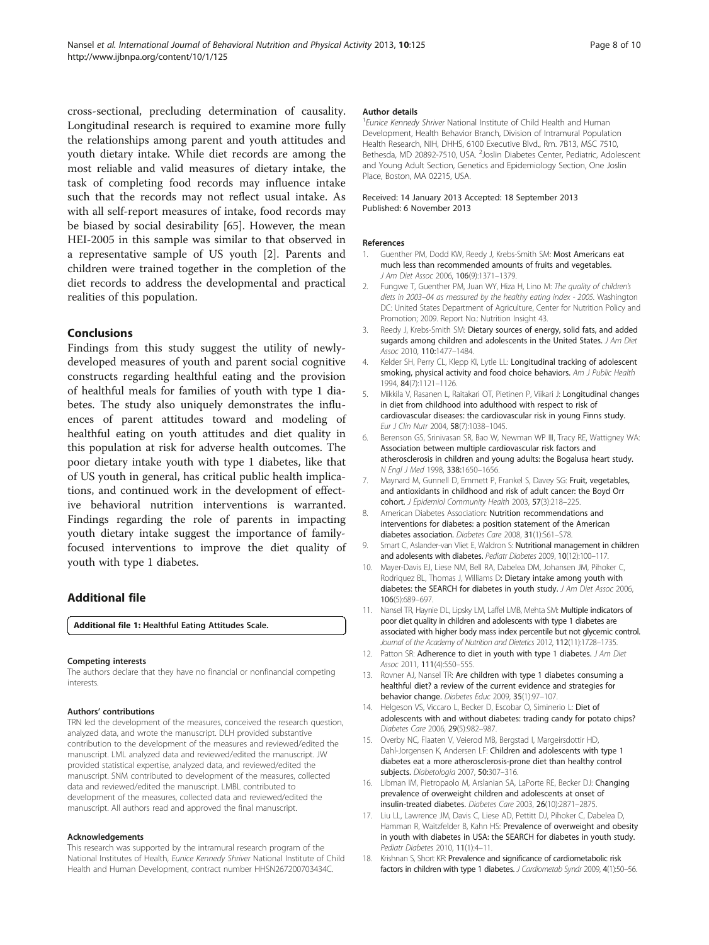<span id="page-7-0"></span>cross-sectional, precluding determination of causality. Longitudinal research is required to examine more fully the relationships among parent and youth attitudes and youth dietary intake. While diet records are among the most reliable and valid measures of dietary intake, the task of completing food records may influence intake such that the records may not reflect usual intake. As with all self-report measures of intake, food records may be biased by social desirability [[65](#page-9-0)]. However, the mean HEI-2005 in this sample was similar to that observed in a representative sample of US youth [2]. Parents and children were trained together in the completion of the diet records to address the developmental and practical realities of this population.

# Conclusions

Findings from this study suggest the utility of newlydeveloped measures of youth and parent social cognitive constructs regarding healthful eating and the provision of healthful meals for families of youth with type 1 diabetes. The study also uniquely demonstrates the influences of parent attitudes toward and modeling of healthful eating on youth attitudes and diet quality in this population at risk for adverse health outcomes. The poor dietary intake youth with type 1 diabetes, like that of US youth in general, has critical public health implications, and continued work in the development of effective behavioral nutrition interventions is warranted. Findings regarding the role of parents in impacting youth dietary intake suggest the importance of familyfocused interventions to improve the diet quality of youth with type 1 diabetes.

# Additional file

[Additional file 1:](http://www.biomedcentral.com/content/supplementary/1479-5868-10-125-S1.docx) Healthful Eating Attitudes Scale.

#### Competing interests

The authors declare that they have no financial or nonfinancial competing interests.

#### Authors' contributions

TRN led the development of the measures, conceived the research question, analyzed data, and wrote the manuscript. DLH provided substantive contribution to the development of the measures and reviewed/edited the manuscript. LML analyzed data and reviewed/edited the manuscript. JW provided statistical expertise, analyzed data, and reviewed/edited the manuscript. SNM contributed to development of the measures, collected data and reviewed/edited the manuscript. LMBL contributed to development of the measures, collected data and reviewed/edited the manuscript. All authors read and approved the final manuscript.

#### Acknowledgements

This research was supported by the intramural research program of the National Institutes of Health, Eunice Kennedy Shriver National Institute of Child Health and Human Development, contract number HHSN267200703434C.

#### Author details

<sup>1</sup> Eunice Kennedy Shriver National Institute of Child Health and Human Development, Health Behavior Branch, Division of Intramural Population Health Research, NIH, DHHS, 6100 Executive Blvd., Rm. 7B13, MSC 7510, Bethesda, MD 20892-7510, USA. <sup>2</sup>Joslin Diabetes Center, Pediatric, Adolescent and Young Adult Section, Genetics and Epidemiology Section, One Joslin Place, Boston, MA 02215, USA.

#### Received: 14 January 2013 Accepted: 18 September 2013 Published: 6 November 2013

#### References

- 1. Guenther PM, Dodd KW, Reedy J, Krebs-Smith SM: Most Americans eat much less than recommended amounts of fruits and vegetables. J Am Diet Assoc 2006, 106(9):1371–1379.
- 2. Fungwe T, Guenther PM, Juan WY, Hiza H, Lino M: The quality of children's diets in 2003–04 as measured by the healthy eating index - 2005. Washington DC: United States Department of Agriculture, Center for Nutrition Policy and Promotion; 2009. Report No.: Nutrition Insight 43.
- 3. Reedy J, Krebs-Smith SM: Dietary sources of energy, solid fats, and added sugards among children and adolescents in the United States. J Am Diet Assoc 2010, 110:1477–1484.
- 4. Kelder SH, Perry CL, Klepp KI, Lytle LL: Longitudinal tracking of adolescent smoking, physical activity and food choice behaviors. Am J Public Health 1994, 84(7):1121–1126.
- Mikkila V, Rasanen L, Raitakari OT, Pietinen P, Viikari J: Longitudinal changes in diet from childhood into adulthood with respect to risk of cardiovascular diseases: the cardiovascular risk in young Finns study. Eur J Clin Nutr 2004, 58(7):1038–1045.
- 6. Berenson GS, Srinivasan SR, Bao W, Newman WP III, Tracy RE, Wattigney WA: Association between multiple cardiovascular risk factors and atherosclerosis in children and young adults: the Bogalusa heart study. N Engl J Med 1998, 338:1650–1656.
- 7. Maynard M, Gunnell D, Emmett P, Frankel S, Davey SG: Fruit, vegetables, and antioxidants in childhood and risk of adult cancer: the Boyd Orr cohort. J Epidemiol Community Health 2003, 57(3):218–225.
- 8. American Diabetes Association: Nutrition recommendations and interventions for diabetes: a position statement of the American diabetes association. Diabetes Care 2008, 31(1):S61-S78.
- 9. Smart C, Aslander-van Vliet E, Waldron S: Nutritional management in children and adolesents with diabetes. Pediatr Diabetes 2009, 10(12):100-117.
- 10. Mayer-Davis EJ, Liese NM, Bell RA, Dabelea DM, Johansen JM, Pihoker C, Rodriquez BL, Thomas J, Williams D: Dietary intake among youth with diabetes: the SEARCH for diabetes in youth study. J Am Diet Assoc 2006, 106(5):689–697.
- 11. Nansel TR, Haynie DL, Lipsky LM, Laffel LMB, Mehta SM: Multiple indicators of poor diet quality in children and adolescents with type 1 diabetes are associated with higher body mass index percentile but not glycemic control. Journal of the Academy of Nutrition and Dietetics 2012, 112(11):1728–1735.
- 12. Patton SR: Adherence to diet in youth with type 1 diabetes. J Am Diet Assoc 2011, 111(4):550–555.
- 13. Rovner AJ, Nansel TR: Are children with type 1 diabetes consuming a healthful diet? a review of the current evidence and strategies for behavior change. Diabetes Educ 2009, 35(1):97–107.
- 14. Helgeson VS, Viccaro L, Becker D, Escobar O, Siminerio L: Diet of adolescents with and without diabetes: trading candy for potato chips? Diabetes Care 2006, 29(5):982–987.
- 15. Overby NC, Flaaten V, Veierod MB, Bergstad I, Margeirsdottir HD, Dahl-Jorgensen K, Andersen LF: Children and adolescents with type 1 diabetes eat a more atherosclerosis-prone diet than healthy control subjects. Diabetologia 2007, 50:307-316.
- 16. Libman IM, Pietropaolo M, Arslanian SA, LaPorte RE, Becker DJ: Changing prevalence of overweight children and adolescents at onset of insulin-treated diabetes. Diabetes Care 2003, 26(10):2871–2875.
- 17. Liu LL, Lawrence JM, Davis C, Liese AD, Pettitt DJ, Pihoker C, Dabelea D, Hamman R, Waitzfelder B, Kahn HS: Prevalence of overweight and obesity in youth with diabetes in USA: the SEARCH for diabetes in youth study. Pediatr Diabetes 2010, 11(1):4–11.
- 18. Krishnan S, Short KR: Prevalence and significance of cardiometabolic risk factors in children with type 1 diabetes. J Cardiometab Syndr 2009, 4(1):50-56.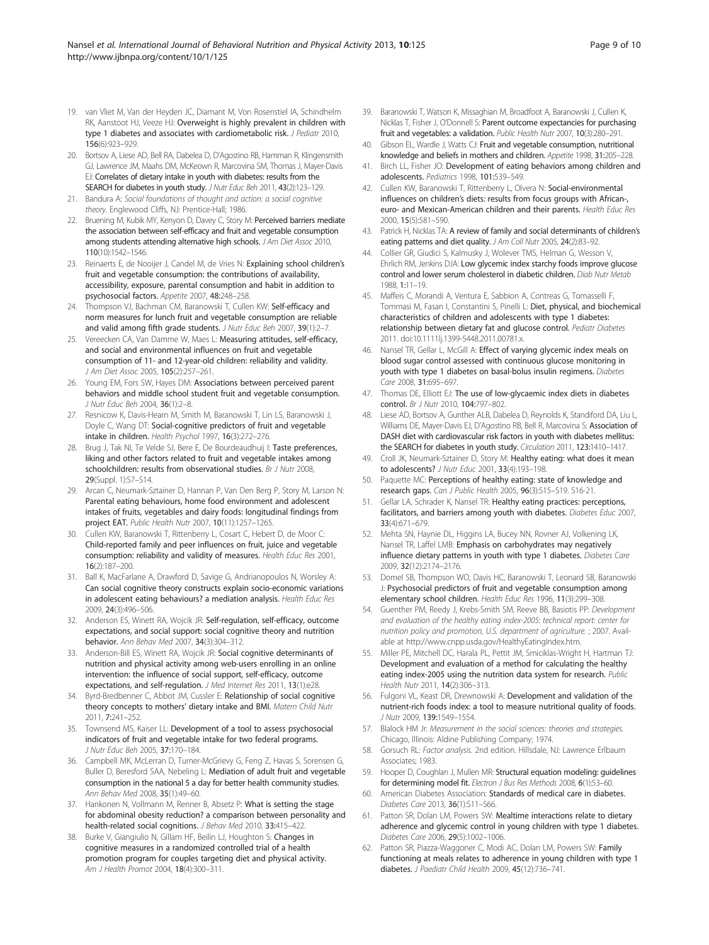- <span id="page-8-0"></span>19. van Vliet M, Van der Heyden JC, Diamant M, Von Rosenstiel IA, Schindhelm RK, Aanstoot HJ, Veeze HJ: Overweight is highly prevalent in children with type 1 diabetes and associates with cardiometabolic risk. J Pediatr 2010, 156(6):923–929.
- 20. Bortsov A, Liese AD, Bell RA, Dabelea D, D'Agostino RB, Hamman R, Klingensmith GJ, Lawrence JM, Maahs DM, McKeown R, Marcovina SM, Thomas J, Mayer-Davis EJ: Correlates of dietary intake in youth with diabetes: results from the SEARCH for diabetes in youth study. J Nutr Educ Beh 2011, 43(2):123-129.
- 21. Bandura A: Social foundations of thought and action: a social cognitive theory. Englewood Cliffs, NJ: Prentice-Hall; 1986.
- 22. Bruening M, Kubik MY, Kenyon D, Davey C, Story M: Perceived barriers mediate the association between self-efficacy and fruit and vegetable consumption among students attending alternative high schools. J Am Diet Assoc 2010, 110(10):1542–1546.
- 23. Reinaerts E, de Nooijer J, Candel M, de Vries N: Explaining school children's fruit and vegetable consumption: the contributions of availability, accessibility, exposure, parental consumption and habit in addition to psychosocial factors. Appetite 2007, 48:248–258.
- 24. Thompson VJ, Bachman CM, Baranowski T, Cullen KW: Self-efficacy and norm measures for lunch fruit and vegetable consumption are reliable and valid among fifth grade students. J Nutr Educ Beh 2007, 39(1):2-7.
- 25. Vereecken CA, Van Damme W, Maes L: Measuring attitudes, self-efficacy, and social and environmental influences on fruit and vegetable consumption of 11- and 12-year-old children: reliability and validity. J Am Diet Assoc 2005, 105(2):257–261.
- 26. Young EM, Fors SW, Hayes DM: Associations between perceived parent behaviors and middle school student fruit and vegetable consumption. J Nutr Educ Beh 2004, 36(1):2–8.
- 27. Resnicow K, Davis-Hearn M, Smith M, Baranowski T, Lin LS, Baranowski J, Doyle C, Wang DT: Social-cognitive predictors of fruit and vegetable intake in children. Health Psychol 1997, 16(3):272–276.
- 28. Brug J, Tak NI, Te Velde SJ, Bere E, De Bourdeaudhuij I: Taste preferences, liking and other factors related to fruit and vegetable intakes among schoolchildren: results from observational studies. Br J Nutr 2008, 29(Suppl. 1):S7–S14.
- 29. Arcan C, Neumark-Sztainer D, Hannan P, Van Den Berg P, Story M, Larson N: Parental eating behaviours, home food environment and adolescent intakes of fruits, vegetables and dairy foods: longitudinal findings from project EAT. Public Health Nutr 2007, 10(11):1257–1265.
- 30. Cullen KW, Baranowski T, Rittenberry L, Cosart C, Hebert D, de Moor C: Child-reported family and peer influences on fruit, juice and vegetable consumption: reliability and validity of measures. Health Educ Res 2001, 16(2):187–200.
- 31. Ball K, MacFarlane A, Drawford D, Savige G, Andrianopoulos N, Worsley A: Can social cognitive theory constructs explain socio-economic variations in adolescent eating behaviours? a mediation analysis. Health Educ Res 2009, 24(3):496–506.
- 32. Anderson ES, Winett RA, Wojcik JR: Self-regulation, self-efficacy, outcome expectations, and social support: social cognitive theory and nutrition behavior. Ann Behav Med 2007, 34(3):304–312.
- 33. Anderson-Bill ES, Winett RA, Wojcik JR: Social cognitive determinants of nutrition and physical activity among web-users enrolling in an online intervention: the influence of social support, self-efficacy, outcome expectations, and self-regulation. J Med Internet Res 2011, 13(1):e28.
- 34. Byrd-Bredbenner C, Abbot JM, Cussler E: Relationship of social cognitive theory concepts to mothers' dietary intake and BMI. Matern Child Nutr 2011, 7:241–252.
- 35. Townsend MS, Kaiser LL: Development of a tool to assess psychosocial indicators of fruit and vegetable intake for two federal programs. J Nutr Educ Beh 2005, 37:170–184.
- 36. Campbell MK, McLerran D, Turner-McGrievy G, Feng Z, Havas S, Sorensen G, Buller D, Beresford SAA, Nebeling L: Mediation of adult fruit and vegetable consumption in the national 5 a day for better health community studies. Ann Behav Med 2008, 35(1):49–60.
- 37. Hankonen N, Vollmann M, Renner B, Absetz P: What is setting the stage for abdominal obesity reduction? a comparison between personality and health-related social cognitions. J Behav Med 2010, 33:415-422.
- 38. Burke V, Giangiulio N, Gillam HF, Beilin LJ, Houghton S: Changes in cognitive measures in a randomized controlled trial of a health promotion program for couples targeting diet and physical activity. Am J Health Promot 2004, 18(4):300–311.
- 39. Baranowski T, Watson K, Missaghian M, Broadfoot A, Baranowski J, Cullen K, Nicklas T, Fisher J, O'Donnell S: Parent outcome expectancies for purchasing fruit and vegetables: a validation. Public Health Nutr 2007, 10(3):280–291.
- 40. Gibson EL, Wardle J, Watts CJ: Fruit and vegetable consumption, nutritional knowledge and beliefs in mothers and children. Appetite 1998, 31:205–228.
- 41. Birch LL, Fisher JO: Development of eating behaviors among children and adolescents. Pediatrics 1998, 101:539–549.
- 42. Cullen KW, Baranowski T, Rittenberry L, Olvera N: Social-environmental influences on children's diets: results from focus groups with African-, euro- and Mexican-American children and their parents. Health Educ Res 2000, 15(5):581–590.
- 43. Patrick H, Nicklas TA: A review of family and social determinants of children's eating patterns and diet quality. J Am Coll Nutr 2005, 24(2):83-92.
- 44. Collier GR, Giudici S, Kalmusky J, Wolever TMS, Helman G, Wesson V, Ehrlich RM, Jenkins DJA: Low glycemic index starchy foods improve glucose control and lower serum cholesterol in diabetic children. Diab Nutr Metab 1988, 1:11–19.
- 45. Maffeis C, Morandi A, Ventura E, Sabbion A, Contreas G, Tomasselli F, Tommasi M, Fasan I, Constantini S, Pinelli L: Diet, physical, and biochemical characteristics of children and adolescents with type 1 diabetes: relationship between dietary fat and glucose control. Pediatr Diabetes 2011. doi:10.1111lj.1399-5448.2011.00781.x.
- 46. Nansel TR, Gellar L, McGill A: Effect of varying glycemic index meals on blood sugar control assessed with continuous glucose monitoring in youth with type 1 diabetes on basal-bolus insulin regimens. Diabetes Care 2008, 31:695–697.
- 47. Thomas DE, Elliott EJ: The use of low-glycaemic index diets in diabetes control. Br J Nutr 2010, 104:797–802.
- 48. Liese AD, Bortsov A, Gunther ALB, Dabelea D, Reynolds K, Standiford DA, Liu L, Williams DE, Mayer-Davis EJ, D'Agostino RB, Bell R, Marcovina S: Association of DASH diet with cardiovascular risk factors in youth with diabetes mellitus: the SEARCH for diabetes in youth study. Circulation 2011, 123:1410-1417.
- 49. Croll JK, Neumark-Sztainer D, Story M: Healthy eating: what does it mean to adolescents? J Nutr Educ 2001, 33(4):193–198.
- 50. Paquette MC: Perceptions of healthy eating: state of knowledge and research gaps. Can J Public Health 2005, 96(3):S15–S19. S16-21.
- 51. Gellar LA, Schrader K, Nansel TR: Healthy eating practices: perceptions, facilitators, and barriers among youth with diabetes. Diabetes Educ 2007, 33(4):671–679.
- 52. Mehta SN, Haynie DL, Higgins LA, Bucey NN, Rovner AJ, Volkening LK, Nansel TR, Laffel LMB: Emphasis on carbohydrates may negatively influence dietary patterns in youth with type 1 diabetes. Diabetes Care 2009, 32(12):2174–2176.
- 53. Domel SB, Thompson WO, Davis HC, Baranowski T, Leonard SB, Baranowski J: Psychosocial predictors of fruit and vegetable consumption among elementary school children. Health Educ Res 1996, 11(3):299–308.
- 54. Guenther PM, Reedy J, Krebs-Smith SM, Reeve BB, Basiotis PP: Development and evaluation of the healthy eating index-2005: technical report: center for nutrition policy and promotion, U.S. department of agriculture. ; 2007. Available at<http://www.cnpp.usda.gov/HealthyEatingIndex.htm>.
- 55. Miller PE, Mitchell DC, Harala PL, Pettit JM, Smiciklas-Wright H, Hartman TJ: Development and evaluation of a method for calculating the healthy eating index-2005 using the nutrition data system for research. Public Health Nutr 2011, 14(2):306–313.
- 56. Fulgoni VL, Keast DR, Drewnowski A: Development and validation of the nutrient-rich foods index: a tool to measure nutritional quality of foods. J Nutr 2009, 139:1549–1554.
- 57. Blalock HM Jr: Measurement in the social sciences: theories and strategies. Chicago, Illinois: Aldine Publishing Company; 1974.
- 58. Gorsuch RL: Factor analysis. 2nd edition. Hillsdale, NJ: Lawrence Erlbaum Associates; 1983.
- 59. Hooper D, Coughlan J, Mullen MR: Structural equation modeling: guidelines for determining model fit. Electron J Bus Res Methods 2008, 6(1):53–60.
- 60. American Diabetes Association: Standards of medical care in diabetes. Diabetes Care 2013, 36(1):S11–S66.
- 61. Patton SR, Dolan LM, Powers SW: Mealtime interactions relate to dietary adherence and glycemic control in young children with type 1 diabetes. Diabetes Care 2006, 29(5):1002–1006.
- 62. Patton SR, Piazza-Waggoner C, Modi AC, Dolan LM, Powers SW: Family functioning at meals relates to adherence in young children with type 1 diabetes. J Paediatr Child Health 2009, 45(12):736-741.